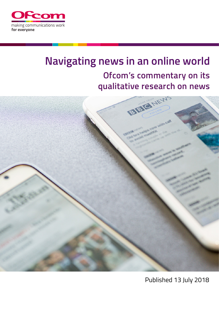

# **Navigating news in an online world Ofcom's commentary on its qualitative research on news**



Published 13 July 2018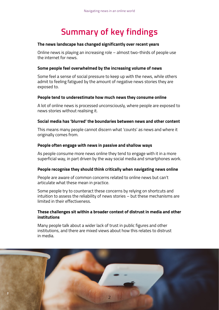# **Summary of key findings**

#### **The news landscape has changed significantly over recent years**

Online news is playing an increasing role – almost two-thirds of people use the internet for news.

# **Some people feel overwhelmed by the increasing volume of news**

Some feel a sense of social pressure to keep up with the news, while others admit to feeling fatigued by the amount of negative news stories they are exposed to.

# **People tend to underestimate how much news they consume online**

A lot of online news is processed unconsciously, where people are exposed to news stories without realising it.

# **Social media has 'blurred' the boundaries between news and other content**

This means many people cannot discern what 'counts' as news and where it originally comes from.

# **People often engage with news in passive and shallow ways**

As people consume more news online they tend to engage with it in a more superficial way, in part driven by the way social media and smartphones work.

#### **People recognise they should think critically when navigating news online**

People are aware of common concerns related to online news but can't articulate what these mean in practice.

Some people try to counteract these concerns by relying on shortcuts and intuition to assess the reliability of news stories – but these mechanisms are limited in their effectiveness.

# **These challenges sit within a broader context of distrust in media and other institutions**

Many people talk about a wider lack of trust in public figures and other institutions, and there are mixed views about how this relates to distrust in media.

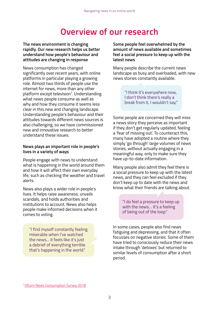# **Overview of our research**

**The news environment is changing rapidly. Our new research helps us better understand how people's behaviour and attitudes are changing in response** 

News consumption has changed significantly over recent years, with online platforms in particular playing a growing role. Almost two thirds of people use the internet for news, more than any other platform except television<sup>1</sup>. Understanding what news people consume as well as why and how they consume it seems less clear in this new and changing landscape. Understanding people's behaviour and their attitudes towards different news sources is also challenging, so we have commissioned new and innovative research to better understand these issues.

# **News plays an important role in people's lives in a variety of ways**

People engage with news to understand what is happening in the world around them and how it will affect their own everyday life, such as checking the weather and travel alerts.

News also plays a wider role in people's lives. It helps raise awareness, unveils scandals, and holds authorities and institutions to account. News also helps people make informed decisions when it comes to voting.

"I find myself constantly feeling miserable when I've watched the news... it feels like it's just a debrief of everything terrible that's happening in the world."

**Some people feel overwhelmed by the amount of news available and sometimes feel a social pressure to keep up with the latest news**

Many people describe the current news landscape as busy and overloaded, with new news stories constantly available.

> "I think it's everywhere now, I don't think there's really a break from it, I wouldn't say."

Some people are concerned they will miss a news story they perceive as important if they don't get regularly updated, feeling a 'fear of missing out'. To counteract this, many have adopted a routine where they simply 'go through' large volumes of news stories, without actually engaging in a meaningful way, only to make sure they have up-to-date information.

Many people also admit they feel there is a social pressure to keep up with the latest news, and they can feel excluded if they don't keep up to date with the news and know what their friends are talking about.

> "I do feel a pressure to keep up with the news… It's a feeling of being out of the loop."

In some cases, people also find news fatiguing and depressing, and that it often focusses on negative stories. Some of them have tried to consciously reduce their news intake through 'detoxes' but returned to similar levels of consumption after a short period.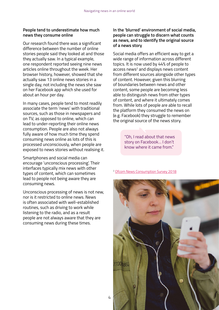# **People tend to underestimate how much news they consume online**

Our research found there was a significant difference between the number of online stories people said they looked at and those they actually saw. In a typical example, one respondent reported seeing nine news articles online throughout the week. Her browser history, however, showed that she actually saw 13 online news stories in a single day, not including the news she saw on her Facebook app which she used for about an hour per day.

In many cases, people tend to most readily associate the term 'news' with traditional sources, such as those in newspapers and on TV, as opposed to online, which can lead to under-reporting their online news consumption. People are also not always fully aware of how much time they spend consuming news online as lots of this is processed unconsciously, when people are exposed to news stories without realising it.

Smartphones and social media can encourage 'unconscious processing'. Their interfaces typically mix news with other types of content, which can sometimes lead to people not being aware they are consuming news.

Unconscious processing of news is not new, nor is it restricted to online news. News is often associated with well-established routines, such as driving to work while listening to the radio, and as a result people are not always aware that they are consuming news during these times.

# **In the 'blurred' environment of social media, people can struggle to discern what counts as news, and to identify the original source of a news story**

Social media offers an efficient way to get a wide range of information across different topics. It is now used by 44% of people to access news<sup>2</sup> and displays news content from different sources alongside other types of content. However, given this blurring of boundaries between news and other content, some people are becoming less able to distinguish news from other types of content, and where it ultimately comes from. While lots of people are able to recall the platform they consumed the news on (e.g. Facebook) they struggle to remember the original source of the news story.

> "Oh, I read about that news story on Facebook… I don't know where it came from."

#### <sup>2</sup> [Ofcom News Consumption Survey 2018](https://www.ofcom.org.uk/research-and-data/tv-radio-and-on-demand/news-media/navigating-news-online)

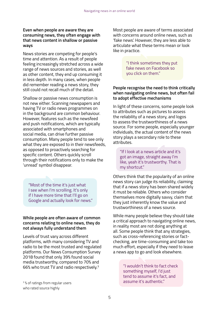# **Even when people are aware they are consuming news, they often engage with that news content in shallow or passive ways**

News stories are competing for people's time and attention. As a result of people feeling increasingly stretched across a wide range of news sources and stories, as well as other content, they end up consuming it in less depth. In many cases, when people did remember reading a news story, they still could not recall much of the detail.

Shallow or passive news consumption is not new either. Scanning newspapers and having TV or radio news programmes on in the background are common behaviour. However, features such as the newsfeed and push notifications, which are typically associated with smartphones and social media, can drive further passive consumption. Many people tend to see only what they are exposed to in their newsfeeds, as opposed to proactively searching for specific content. Others quickly scroll through their notifications only to make the 'unread' symbol disappear.

"Most of the time it's just what I see when I'm scrolling. It's only if I have more time that I'll go on Google and actually look for news."

**While people are often aware of common concerns relating to online news, they do not always fully understand them**

Levels of trust vary across different platforms, with many considering TV and radio to be the most trusted and regulated platforms. Our News Consumption Survey 2018 found that only 39% found social media trustworthy, compared to 70% and 66% who trust TV and radio respectively.3

who rated source highly

Most people are aware of terms associated with concerns around online news, such as 'fake news'. However, they are less able to articulate what these terms mean or look like in practice.

> "I think sometimes they put fake news on Facebook so you click on them."

# **People recognise the need to think critically when navigating online news, but often fail to adopt effective mechanisms**

In light of these concerns, some people look to attributes such as pictures to assess the reliability of a news story, and logos to assess the trustworthiness of a news source. For some people, especially younger individuals, the actual content of the news story plays a secondary role to these attributes.

"If I look at a news article and it's got an image, straight away I'm like, yeah it's trustworthy. That is my shortcut."

Others think that the popularity of an online news story can judge its reliability, claiming that if a news story has been shared widely it must be reliable. Others who consider themselves more digitally savvy, claim that they just inherently know the value and trustworthiness of a news source.

While many people believe they should take a critical approach to navigating online news, in reality most are not doing anything at all. Some people think that any strategies, such as cross-referencing stories or factchecking, are time-consuming and take too much effort, especially if they need to leave a news app to go and look elsewhere.

"I wouldn't think to fact check something myself, I'd just tend to assume it's fact, and <sup>3</sup>% of ratings from regular users **the contract of the contract of the contract of the contract of the contract of the contract of the contract of the contract of the contract of the contract of the contract of the contra**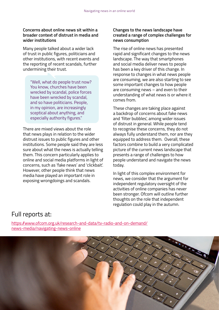# **Concerns about online news sit within a broader context of distrust in media and wider institutions**

Many people talked about a wider lack of trust in public figures, politicians and other institutions, with recent events and the reporting of recent scandals, further undermining their trust.

"Well, what do people trust now? You know, churches have been wrecked by scandal, police forces have been wrecked by scandal, and so have politicians. People, in my opinion, are increasingly sceptical about anything, and especially authority figures."

There are mixed views about the role that news plays in relation to the wider distrust issues to public figures and other institutions. Some people said they are less sure about what the news is actually telling them. This concern particularly applies to online and social media platforms in light of concerns, such as 'fake news' and 'clickbait'. However, other people think that news media have played an important role in exposing wrongdoings and scandals.

# **Changes to the news landscape have created a range of complex challenges for news consumption**

The rise of online news has presented rapid and significant changes to the news landscape. The way that smartphones and social media deliver news to people has been a key driver of this change. In response to changes in what news people are consuming, we are also starting to see some important changes to how people are consuming news – and even to their understanding of what news is or where it comes from.

These changes are taking place against a backdrop of concerns about fake news and 'filter bubbles', among wider issues of distrust in general. While people tend to recognise these concerns, they do not always fully understand them, nor are they equipped to address them. Overall, these factors combine to build a very complicated picture of the current news landscape that presents a range of challenges to how people understand and navigate the news today.

In light of this complex environment for news, we consider that the argument for independent regulatory oversight of the activities of online companies has never been stronger. Ofcom will outline further thoughts on the role that independent regulation could play in the autumn.

# Full reports at:

https://www.ofcom.org.uk/research-and-data/tv-radio-and-on-demand/ news-media/navigating-news-online